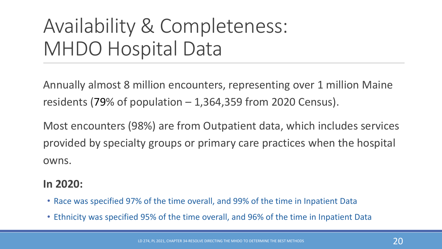## Availability & Completeness: MHDO Hospital Data

Annually almost 8 million encounters, representing over 1 million Maine residents (79% of population  $-1,364,359$  from 2020 Census).

Most encounters (98%) are from Outpatient data, which includes services provided by specialty groups or primary care practices when the hospital owns.

#### **In 2020:**

- Race was specified 97% of the time overall, and 99% of the time in Inpatient Data
- Ethnicity was specified 95% of the time overall, and 96% of the time in Inpatient Data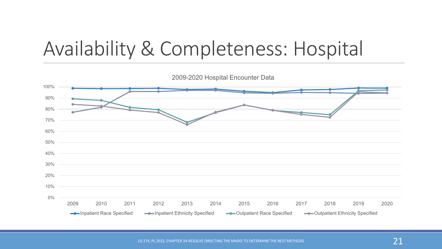## Availability & Completeness: Hospital

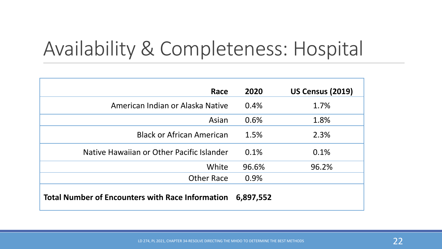## Availability & Completeness: Hospital

| Race                                                    | 2020      | <b>US Census (2019)</b> |
|---------------------------------------------------------|-----------|-------------------------|
| American Indian or Alaska Native                        | 0.4%      | 1.7%                    |
| Asian                                                   | 0.6%      | 1.8%                    |
| <b>Black or African American</b>                        | 1.5%      | 2.3%                    |
| Native Hawaiian or Other Pacific Islander               | 0.1%      | 0.1%                    |
| White                                                   | 96.6%     | 96.2%                   |
| <b>Other Race</b>                                       | 0.9%      |                         |
| <b>Total Number of Encounters with Race Information</b> | 6,897,552 |                         |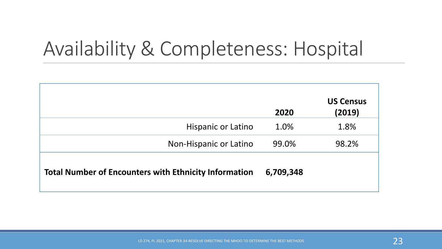### Availability & Completeness: Hospital

|                                                              | 2020      | <b>US Census</b><br>(2019) |
|--------------------------------------------------------------|-----------|----------------------------|
| Hispanic or Latino                                           | 1.0%      | 1.8%                       |
| Non-Hispanic or Latino                                       | 99.0%     | 98.2%                      |
| <b>Total Number of Encounters with Ethnicity Information</b> | 6,709,348 |                            |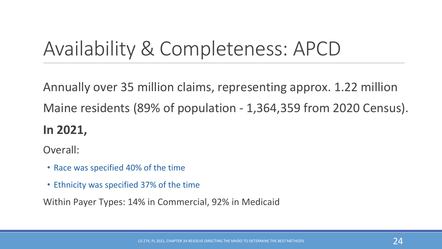### Availability & Completeness: APCD

Annually over 35 million claims, representing approx. 1.22 million Maine residents (89% of population - 1,364,359 from 2020 Census).

#### **In 2021,**

Overall:

- Race was specified 40% of the time
- Ethnicity was specified 37% of the time

Within Payer Types: 14% in Commercial, 92% in Medicaid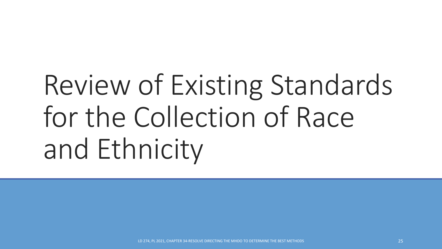# Review of Existing Standards for the Collection of Race and Ethnicity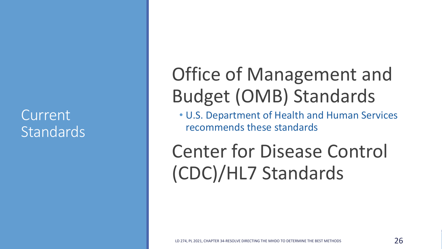#### Current Standards

#### Office of Management and Budget (OMB) Standards

• U.S. Department of Health and Human Services recommends these standards

Center for Disease Control (CDC)/HL7 Standards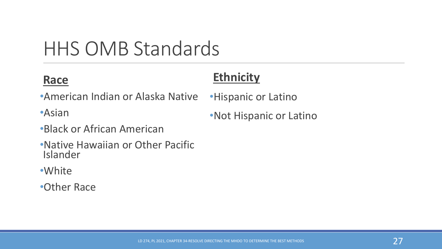### HHS OMB Standards

#### **Race**

#### **Ethnicity**

- •American Indian or Alaska Native
- •Asian
- •Black or African American
- •Native Hawaiian or Other Pacific Islander
- •White
- •Other Race

•Hispanic or Latino

•Not Hispanic or Latino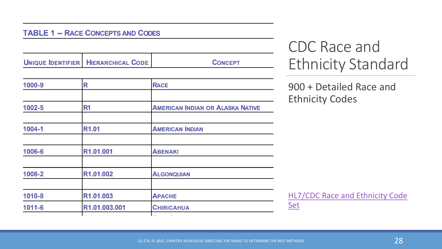#### **TABLE 1 - RACE CONCEPTS AND CODES**

UNIQUE IDENTIFIER | HIERARCHICAL CODE

**CONCEPT** 

| 1000-9     | R                 | <b>RACE</b>                             |
|------------|-------------------|-----------------------------------------|
|            |                   |                                         |
| 1002-5     | R <sub>1</sub>    | <b>AMERICAN INDIAN OR ALASKA NATIVE</b> |
|            |                   |                                         |
| 1004-1     | R <sub>1.01</sub> | <b>AMERICAN INDIAN</b>                  |
|            |                   |                                         |
| 1006-6     | R1.01.001         | <b>ABENAKI</b>                          |
| 1008-2     | R1.01.002         | <b>ALGONQUIAN</b>                       |
| 1010-8     | R1.01.003         | <b>APACHE</b>                           |
| $1011 - 6$ | R1.01.003.001     | <b>CHIRICAHUA</b>                       |
|            |                   |                                         |

#### CDC Race and Ethnicity Standard

900 + Detailed Race and Ethnicity Codes

[HL7/CDC Race and Ethnicity Code](https://www.cdc.gov/nchs/data/dvs/Race_Ethnicity_CodeSet.pdf)  Set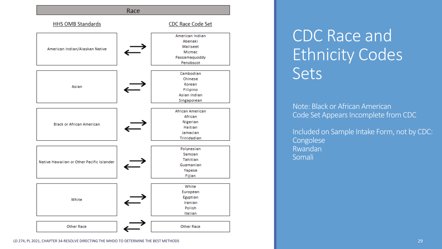

#### CDC Race and Ethnicity Codes Sets

Note: Black or African American Code Set Appears Incomplete from CDC

Included on Sample Intake Form, not by CDC: Congolese Rwandan Somali

LD 274, PL 2021, CHAPTER 34-RESOLVE DIRECTING THE MHDO TO DETERMINE THE BEST METHODS 29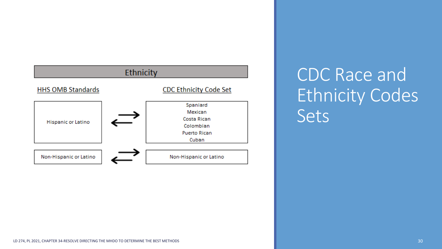

CDC Race and Ethnicity Codes Sets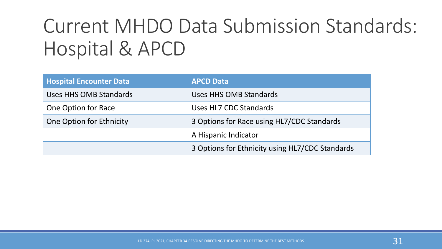### Current MHDO Data Submission Standards: Hospital & APCD

| <b>Hospital Encounter Data</b> | <b>APCD Data</b>                                |
|--------------------------------|-------------------------------------------------|
| Uses HHS OMB Standards         | Uses HHS OMB Standards                          |
| One Option for Race            | Uses HL7 CDC Standards                          |
| One Option for Ethnicity       | 3 Options for Race using HL7/CDC Standards      |
|                                | A Hispanic Indicator                            |
|                                | 3 Options for Ethnicity using HL7/CDC Standards |